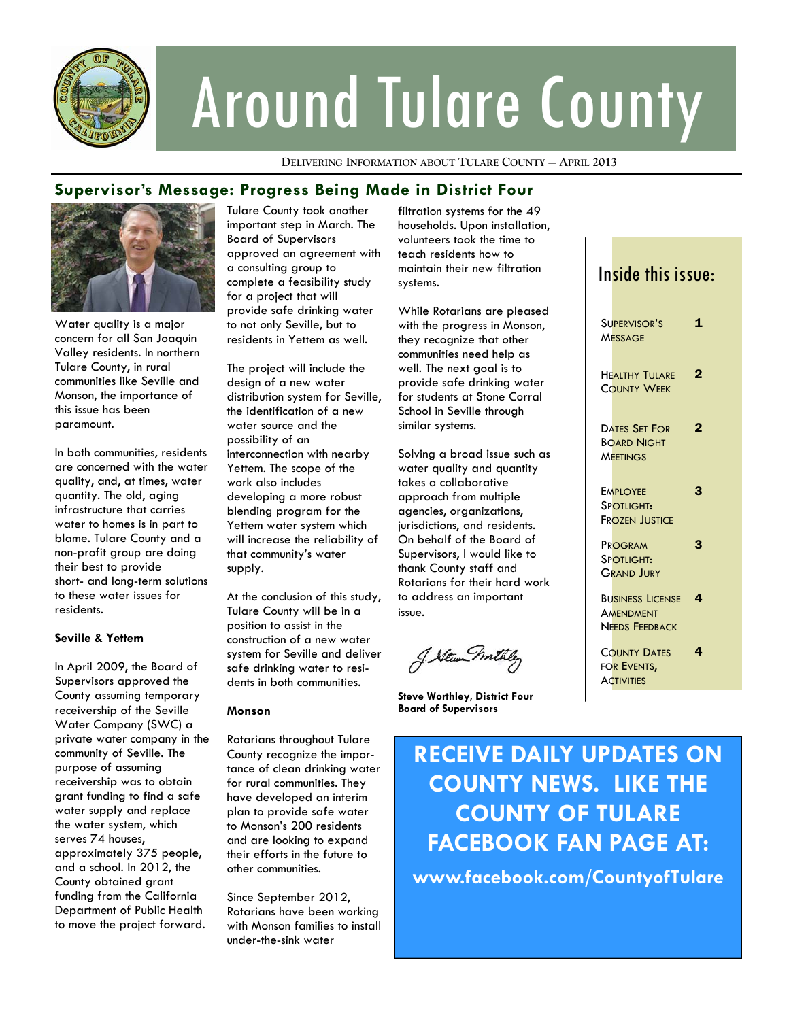

# Around Tulare County

**DELIVERING INFORMATION ABOUT TULARE COUNTY — APRIL 2013**

## **Supervisor's Message: Progress Being Made in District Four**



Water quality is a major concern for all San Joaquin Valley residents. In northern Tulare County, in rural communities like Seville and Monson, the importance of this issue has been paramount.

In both communities, residents are concerned with the water quality, and, at times, water quantity. The old, aging infrastructure that carries water to homes is in part to blame. Tulare County and a non-profit group are doing their best to provide short- and long-term solutions to these water issues for residents.

## **Seville & Yettem**

In April 2009, the Board of Supervisors approved the County assuming temporary receivership of the Seville Water Company (SWC) a private water company in the community of Seville. The purpose of assuming receivership was to obtain grant funding to find a safe water supply and replace the water system, which serves 74 houses, approximately 375 people, and a school. In 2012, the County obtained grant funding from the California Department of Public Health to move the project forward.

Tulare County took another important step in March. The Board of Supervisors approved an agreement with a consulting group to complete a feasibility study for a project that will provide safe drinking water to not only Seville, but to residents in Yettem as well.

The project will include the design of a new water distribution system for Seville, the identification of a new water source and the possibility of an interconnection with nearby Yettem. The scope of the work also includes developing a more robust blending program for the Yettem water system which will increase the reliability of that community's water supply.

At the conclusion of this study, Tulare County will be in a position to assist in the construction of a new water system for Seville and deliver safe drinking water to residents in both communities.

### **Monson**

Rotarians throughout Tulare County recognize the importance of clean drinking water for rural communities. They have developed an interim plan to provide safe water to Monson's 200 residents and are looking to expand their efforts in the future to other communities.

Since September 2012, Rotarians have been working with Monson families to install under-the-sink water

filtration systems for the 49 households. Upon installation, volunteers took the time to teach residents how to maintain their new filtration systems.

While Rotarians are pleased with the progress in Monson, they recognize that other communities need help as well. The next goal is to provide safe drinking water for students at Stone Corral School in Seville through similar systems.

Solving a broad issue such as water quality and quantity takes a collaborative approach from multiple agencies, organizations, jurisdictions, and residents. On behalf of the Board of Supervisors, I would like to thank County staff and Rotarians for their hard work to address an important issue.

J. Stewn mithel

**Steve Worthley, District Four Board of Supervisors** 

## Inside this issue:

| SUPERVISOR'S<br><b>MESSAGE</b>                                       | 1              |
|----------------------------------------------------------------------|----------------|
| <b>HEALTHY TULARE</b><br><b>COUNTY WEEK</b>                          | $\overline{2}$ |
| <b>DATES SET FOR</b><br><b>BOARD NIGHT</b><br><b>MEETINGS</b>        | 2              |
| <b>EMPLOYEE</b><br>SPOTLIGHT:<br><b>FROZEN JUSTICE</b>               | З              |
| PROGRAM<br>SPOTLIGHT:<br>GRAND JURY                                  | 3              |
| <b>BUSINESS LICENSE</b><br><b>AMENDMENT</b><br><b>NEEDS FEEDBACK</b> | 4              |
| <b>COUNTY DATES</b><br>for Events,<br><b>ACTIVITIES</b>              | 4              |
|                                                                      |                |

# **RECEIVE DAILY UPDATES ON COUNTY NEWS. LIKE THE COUNTY OF TULARE FACEBOOK FAN PAGE AT:**

**www.facebook.com/CountyofTulare**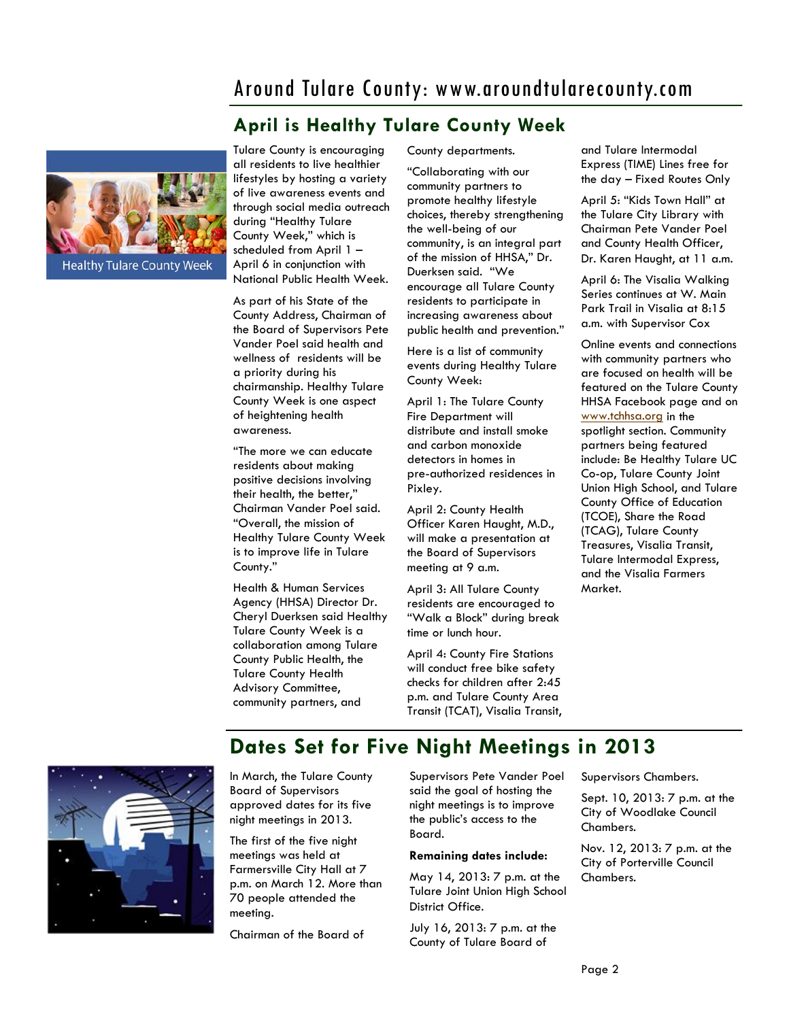## Around Tulare County: www.aroundtularecounty.com

## **April is Healthy Tulare County Week**



Tulare County is encouraging all residents to live healthier lifestyles by hosting a variety of live awareness events and through social media outreach during "Healthy Tulare County Week," which is scheduled from April 1 – April 6 in conjunction with National Public Health Week.

As part of his State of the County Address, Chairman of the Board of Supervisors Pete Vander Poel said health and wellness of residents will be a priority during his chairmanship. Healthy Tulare County Week is one aspect of heightening health awareness.

"The more we can educate residents about making positive decisions involving their health, the better," Chairman Vander Poel said. "Overall, the mission of Healthy Tulare County Week is to improve life in Tulare County."

Health & Human Services Agency (HHSA) Director Dr. Cheryl Duerksen said Healthy Tulare County Week is a collaboration among Tulare County Public Health, the Tulare County Health Advisory Committee, community partners, and

County departments.

"Collaborating with our community partners to promote healthy lifestyle choices, thereby strengthening the well-being of our community, is an integral part of the mission of HHSA," Dr. Duerksen said. "We encourage all Tulare County residents to participate in increasing awareness about public health and prevention."

Here is a list of community events during Healthy Tulare County Week:

April 1: The Tulare County Fire Department will distribute and install smoke and carbon monoxide detectors in homes in pre-authorized residences in Pixley.

April 2: County Health Officer Karen Haught, M.D., will make a presentation at the Board of Supervisors meeting at 9 a.m.

April 3: All Tulare County residents are encouraged to "Walk a Block" during break time or lunch hour.

April 4: County Fire Stations will conduct free bike safety checks for children after 2:45 p.m. and Tulare County Area Transit (TCAT), Visalia Transit,

**Dates Set for Five Night Meetings in 2013** 

and Tulare Intermodal Express (TIME) Lines free for the day – Fixed Routes Only

April 5: "Kids Town Hall" at the Tulare City Library with Chairman Pete Vander Poel and County Health Officer, Dr. Karen Haught, at 11 a.m.

April 6: The Visalia Walking Series continues at W. Main Park Trail in Visalia at 8:15 a.m. with Supervisor Cox

Online events and connections with community partners who are focused on health will be featured on the Tulare County HHSA Facebook page and on [www.tchhsa.org](http://www.tchhsa.org) in the spotlight section. Community partners being featured include: Be Healthy Tulare UC Co-op, Tulare County Joint Union High School, and Tulare County Office of Education (TCOE), Share the Road (TCAG), Tulare County Treasures, Visalia Transit, Tulare Intermodal Express, and the Visalia Farmers Market.



In March, the Tulare County Board of Supervisors approved dates for its five night meetings in 2013.

The first of the five night meetings was held at Farmersville City Hall at 7 p.m. on March 12. More than 70 people attended the meeting.

Chairman of the Board of

Supervisors Pete Vander Poel said the goal of hosting the night meetings is to improve the public's access to the Board.

### **Remaining dates include:**

May 14, 2013: 7 p.m. at the Tulare Joint Union High School District Office.

July 16, 2013: 7 p.m. at the County of Tulare Board of

Supervisors Chambers.

Sept. 10, 2013: 7 p.m. at the City of Woodlake Council Chambers.

Nov. 12, 2013: 7 p.m. at the City of Porterville Council Chambers.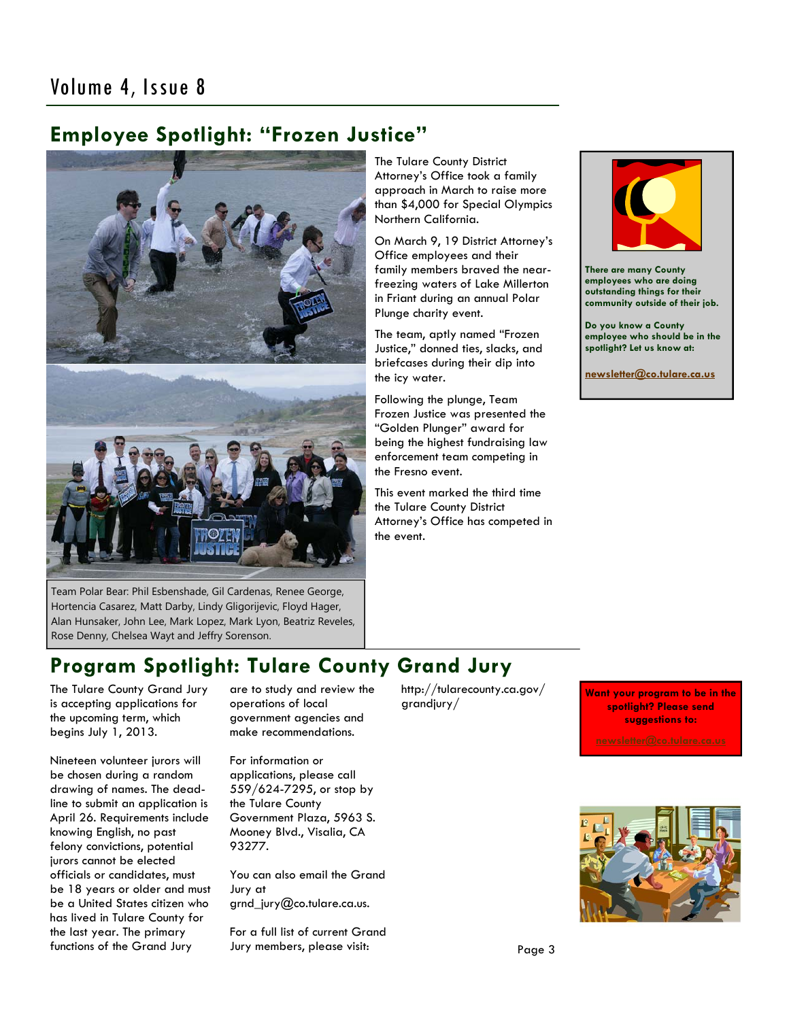## **Employee Spotlight: "Frozen Justice"**



Team Polar Bear: Phil Esbenshade, Gil Cardenas, Renee George, Hortencia Casarez, Matt Darby, Lindy Gligorijevic, Floyd Hager, Alan Hunsaker, John Lee, Mark Lopez, Mark Lyon, Beatriz Reveles, Rose Denny, Chelsea Wayt and Jeffry Sorenson.

The Tulare County District Attorney's Office took a family approach in March to raise more than \$4,000 for Special Olympics Northern California.

On March 9, 19 District Attorney's Office employees and their family members braved the nearfreezing waters of Lake Millerton in Friant during an annual Polar Plunge charity event.

The team, aptly named "Frozen Justice," donned ties, slacks, and briefcases during their dip into the icy water.

Following the plunge, Team Frozen Justice was presented the "Golden Plunger" award for being the highest fundraising law enforcement team competing in the Fresno event.

This event marked the third time the Tulare County District Attorney's Office has competed in the event.



**There are many County employees who are doing outstanding things for their community outside of their job.** 

**Do you know a County employee who should be in the spotlight? Let us know at:** 

**[newsletter@co.tulare.ca.us](mailto:newsletter@co.tulare.ca.us?subject=Employee%20spotlight)**

## **Program Spotlight: Tulare County Grand Jury**

The Tulare County Grand Jury is accepting applications for the upcoming term, which begins July 1, 2013.

Nineteen volunteer jurors will be chosen during a random drawing of names. The deadline to submit an application is April 26. Requirements include knowing English, no past felony convictions, potential jurors cannot be elected officials or candidates, must be 18 years or older and must be a United States citizen who has lived in Tulare County for the last year. The primary functions of the Grand Jury

are to study and review the operations of local government agencies and make recommendations.

For information or applications, please call 559/624-7295, or stop by the Tulare County Government Plaza, 5963 S. Mooney Blvd., Visalia, CA 93277.

You can also email the Grand Jury at grnd\_jury@co.tulare.ca.us.

For a full list of current Grand Jury members, please visit:

http://tularecounty.ca.gov/ grandjury/

**Want your program to be in the spotlight? Please send suggestions to:**